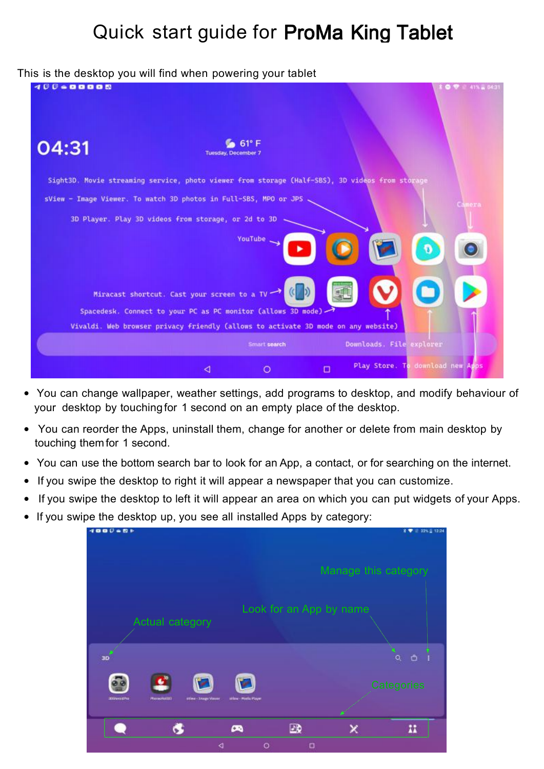# Quick start guide for ProMa King Tablet

#### This is the desktop you will find when powering your tablet

| $0 - 0 0 0 0 0$ | ິ                                                                                              | 41% a 04:31                                |
|-----------------|------------------------------------------------------------------------------------------------|--------------------------------------------|
| 04:31           | $61^{\circ}$ F<br><b>Tuesday, December 7</b>                                                   |                                            |
|                 | Sight3D. Movie streaming service, photo viewer from storage (Half-SBS), 3D videos from storage |                                            |
|                 | sView - Image Viewer. To watch 3D photos in Full-SBS, MPO or JPS                               | Camera                                     |
|                 | 3D Player. Play 3D videos from storage, or 2d to 3D                                            |                                            |
|                 | YouTube.                                                                                       |                                            |
|                 | $($ $)$<br>Miracast shortcut. Cast your screen to a TV                                         |                                            |
|                 | Spacedesk. Connect to your PC as PC monitor (allows 3D mode)                                   |                                            |
|                 | Vivaldi. Web browser privacy friendly (allows to activate 3D mode on any website)              |                                            |
|                 | Smart search                                                                                   | Downloads. File explorer                   |
|                 | $\circ$<br>◁                                                                                   | Play Store. To download new Apps<br>$\Box$ |

- You can change wallpaper, weather settings, add programs to desktop, and modify behaviour of your desktop by touchingfor 1 second on an empty place of the desktop.
- You can reorder the Apps, uninstall them, change for another or delete from main desktop by touching them for 1 second.
- You can use the bottom search bar to look for an App, a contact, or for searching on the internet.
- If you swipe the desktop to right it will appear a newspaper that you can customize.
- If you swipe the desktop to left it will appear an area on which you can put widgets of your Apps.
- If you swipe the desktop up, you see all installed Apps by category:

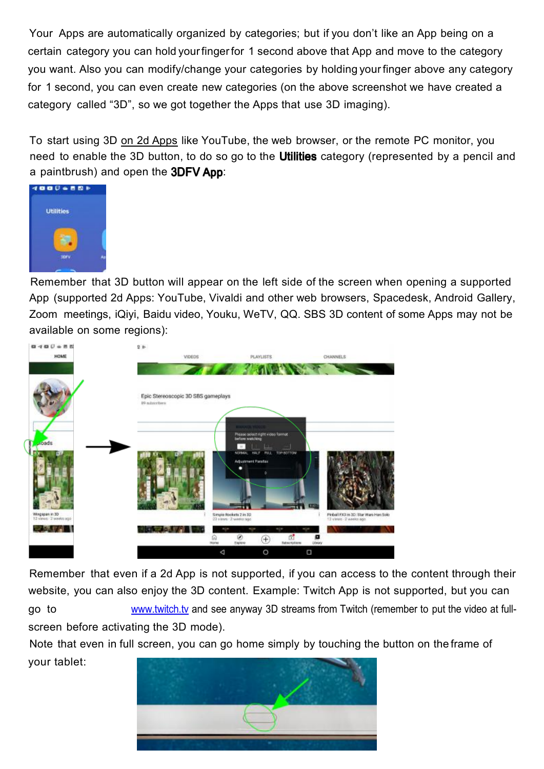Your Apps are automatically organized by categories; but if you don't like an App being on a certain category you can hold yourfingerfor 1 second above that App and move to the category you want. Also you can modify/change your categories by holding yourfinger above any category for 1 second, you can even create new categories (on the above screenshot we have created a category called "3D", so we got together the Apps that use 3D imaging).

To start using 3D on 2d Apps like YouTube, the web browser, or the remote PC monitor, you need to enable the 3D button, to do so go to the **Utilities** category (represented by a pencil and a paintbrush) and open the  $3DFV$  App:



Remember that 3D button will appear on the left side of the screen when opening a supported App (supported 2d Apps: YouTube, Vivaldi and other web browsers, Spacedesk, Android Gallery, Zoom meetings, iQiyi, Baidu video, Youku, WeTV, QQ. SBS 3D content of some Apps may not be available on some regions):



Remember that even if a 2d App is not supported, if you can access to the content through their website, you can also enjoy the 3D content. Example: Twitch App is not supported, but you can

go to [www.twitch.tv](http://www.twitch.tv/) and see anyway 3D streams from Twitch (remember to put the video at full screen before activating the 3D mode).

Note that even in full screen, you can go home simply by touching the button on the frame of your tablet:

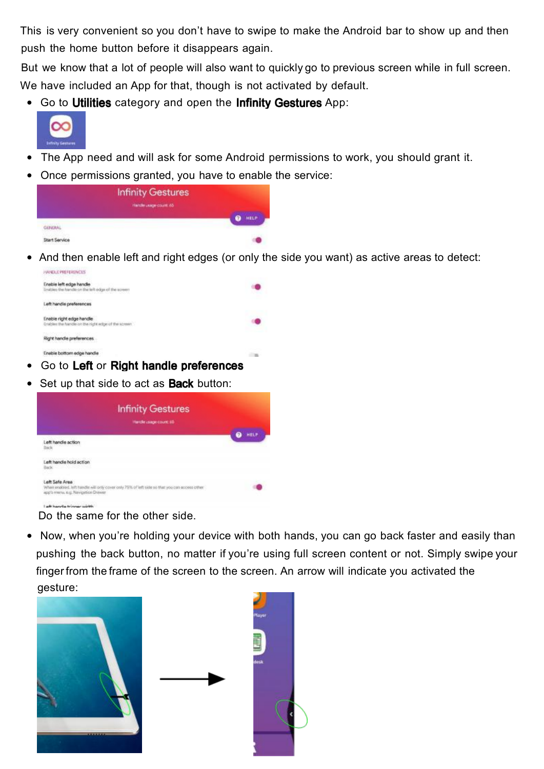This is very convenient so you don't have to swipe to make the Android bar to show up and then push the home button before it disappears again.

But we know that a lot of people will also want to quickly go to previous screen while in full screen. We have included an App for that, though is not activated by default.

• Go to Utilities category and open the Infinity Gestures App:



- The App need and will ask for some Android permissions to work, you should grant it.
- Once permissions granted, you have to enable the service:

| <b>Infinity Gestures</b>              |
|---------------------------------------|
| Handle Leage count: 65<br><b>HELP</b> |
|                                       |
|                                       |
|                                       |

• And then enable left and right edges (or only the side you want) as active areas to detect: **HANDLE PREFERENCES** 

| able bottom edge hand<br>Go to Left or Right handle preferences |  |
|-----------------------------------------------------------------|--|
| Right handle preferences                                        |  |
| Enable right edge handle                                        |  |
| idis preferen                                                   |  |
| Enable left edge handle<br>swridle on the left edge of          |  |
|                                                                 |  |

Set up that side to act as **Back** button:

| <b>Infinity Gestures</b><br>Handle usage count: 65                                                                                                   |      |
|------------------------------------------------------------------------------------------------------------------------------------------------------|------|
| Left handle action                                                                                                                                   | HELP |
| Left handle hold action<br>issie waarde voor de weer                                                                                                 |      |
| Left Safe Area<br>When enabled, left handle will goly cover only 75% of left side so that you can access other<br>app's menu, e.g. Navigation Drawer |      |

Do the same for the other side.

1 with beneather to become collected

• Now, when you're holding your device with both hands, you can go back faster and easily than pushing the back button, no matter if you're using full screen content or not. Simply swipe your finger from the frame of the screen to the screen. An arrow will indicate you activated the gesture:



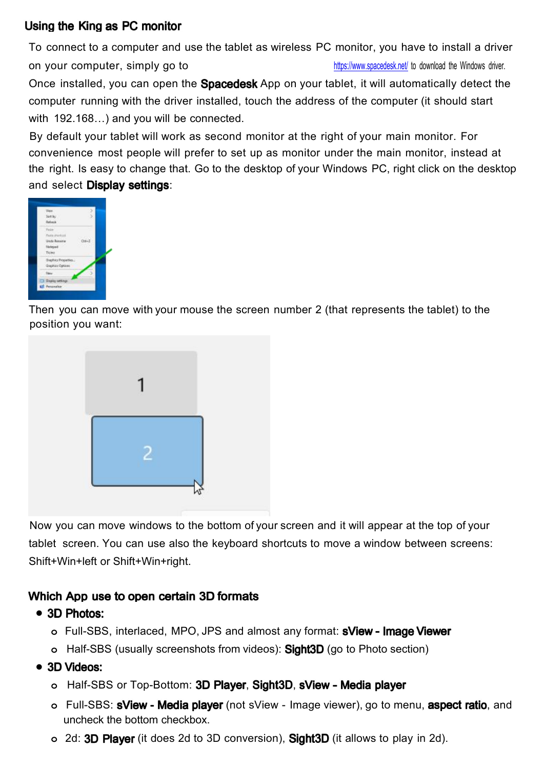## Using the King as PC monitor

To connect to a computer and use the tablet as wireless PC monitor, you have to install a driver on your computer, simply go to https://www.spacedesk.net/ to download the Windows driver.<br>Once installed, you can open the **Spacedesk** App on your tablet, it will automatically detect the computer running with the driver installed, touch the address of the computer (it should start with 192.168…) and you will be connected.

By default your tablet will work as second monitor at the right of your main monitor. For convenience most people will prefer to set up as monitor under the main monitor, instead at the right. Is easy to change that. Go to the desktop of your Windows PC, right click on the desktop and select Display settings:



Then you can move with your mouse the screen number 2 (that represents the tablet) to the position you want:



Now you can move windows to the bottom of your screen and it will appear at the top of your tablet screen. You can use also the keyboard shortcuts to move a window between screens: Shift+Win+left or Shift+Win+right.

## Which App use to open certain 3D formats

- 3D Photos:
	- **o** Full-SBS, interlaced, MPO, JPS and almost any format:
	- **o** Half-SBS (usually screenshots from videos): **Sight3D** (go to Photo section)
- 3D Videos:
	- **o** Half-SBS or Top-Bottom: 3D Player, Sight3D, sView Media player
	- **o** Full-SBS: **sView Media player** (not sView Image viewer), go to menu, **aspect ratio**, and uncheck the bottom checkbox.
	- **o** 2d: **3D Player** (it does 2d to 3D conversion), **Sight3D** (it allows to play in 2d).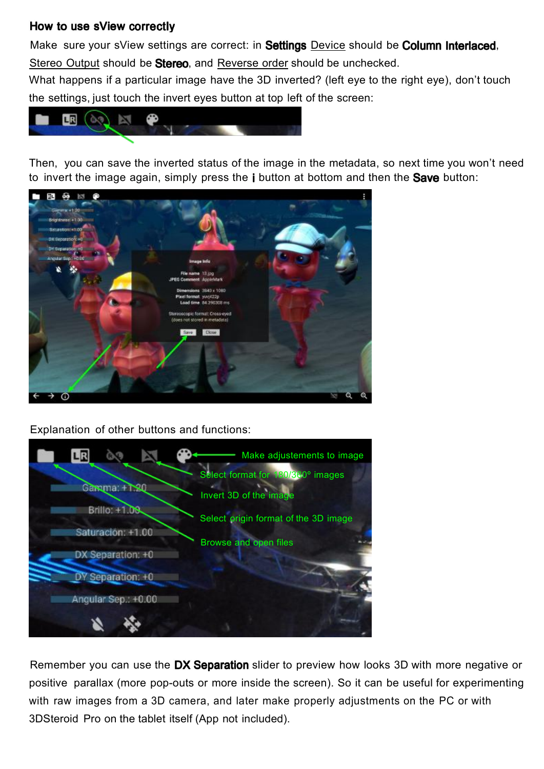### How to use sView correctly

Make sure your sView settings are correct: in Settings Device should be Column Interlaced. Stereo Output should be **Stereo**, and Reverse order should be unchecked.

What happens if a particular image have the 3D inverted? (left eye to the right eye), don't touch the settings, just touch the invert eyes button at top left of the screen:



Then, you can save the inverted status of the image in the metadata, so next time you won't need to invert the image again, simply press the  $\mathbf i$  button at bottom and then the **Save** button:



Explanation of other buttons and functions:



Remember you can use the DX Separation slider to preview how looks 3D with more negative or positive parallax (more pop-outs or more inside the screen). So it can be useful for experimenting with raw images from a 3D camera, and later make properly adjustments on the PC or with 3DSteroid Pro on the tablet itself (App not included).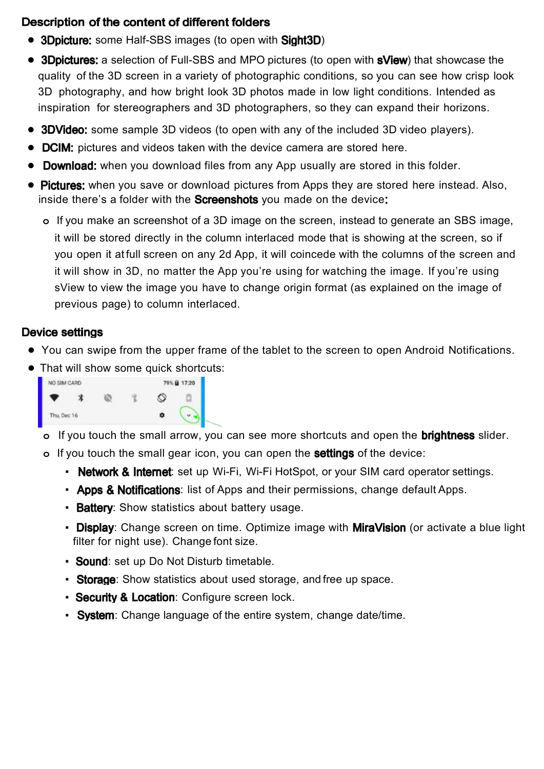## Description of the content of different folders

- 3Dpicture: some Half-SBS images (to open with Sight3D)
- 3Dpictures: a selection of Full-SBS and MPO pictures (to open with **sView**) that showcase the quality of the 3D screen in a variety of photographic conditions, so you can see how crisp look 3D photography, and how bright look 3D photos made in low light conditions. Intended as inspiration for stereographers and 3D photographers, so they can expand their horizons.
- **3DVideo:** some sample 3D videos (to open with any of the included 3D video players).
- **•** pictures and videos taken with the device camera are stored here.
- **Download:** when you download files from any App usually are stored in this folder.
- **Pictures:** when you save or download pictures from Apps they are stored here instead. Also, inside there's a folder with the **Screenshots** you made on the device:
	- **o** If you make an screenshot of a 3D image on the screen, instead to generate an SBS image, it will be stored directly in the column interlaced mode that is showing at the screen, so if you open it at full screen on any 2d App, it will coincede with the columns of the screen and it will show in 3D, no matter the App you're using for watching the image. If you're using sView to view the image you have to change origin format (as explained on the image of previous page) to column interlaced.

### **Device settings**

- **•** You can swipe from the upper frame of the tablet to the screen to open Android Notifications.
- **•** That will show some quick shortcuts:



**o** If you touch the small arrow, you can see more shortcuts and open the **brightness** slider.

- **o** If you touch the small gear icon, you can open the **settings** of the device:
	- **· Network & Internet:** set up Wi-Fi, Wi-Fi HotSpot, or your SIM card operator settings.
	- **Apps & Notifications**: list of Apps and their permissions, change default Apps.
	- **Battery**: Show statistics about battery usage.
	- **Display:** Change screen on time. Optimize image with **MiraVision** (or activate a blue light filter for night use). Change font size.
	- **Sound:** set up Do Not Disturb timetable.
	- **Storage:** Show statistics about used storage, and free up space.
	- **Security & Location: Configure screen lock.**
	- **System**: Change language of the entire system, change date/time.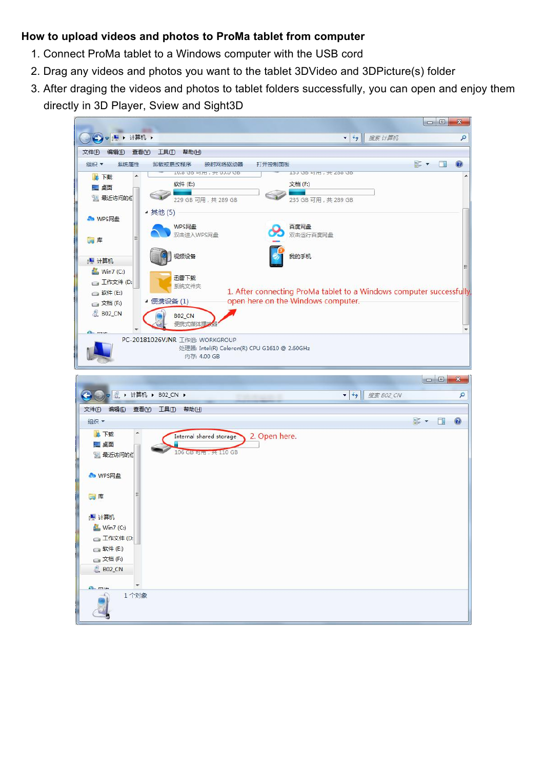#### **How to upload videos and photos to ProMa tablet from computer**

- 1. Connect ProMa tablet to a Windows computer with the USB cord
- 2. Drag any videos and photos you want to the tablet 3DVideo and 3DPicture(s) folder
- 3. After draging the videos and photos to tablet folders successfully, you can open and enjoy them directly in 3D Player, Sview and Sight3D

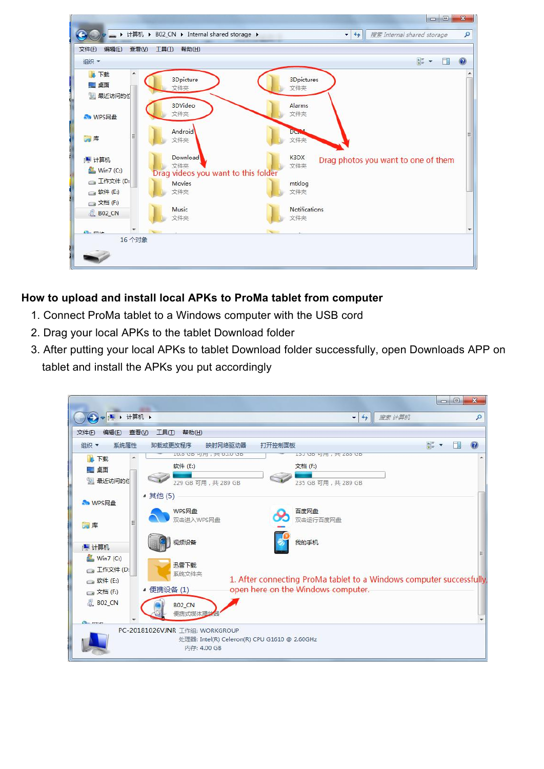

## **How to upload and install local APKs to ProMa tablet from computer**

- 1. Connect ProMa tablet to a Windows computer with the USB cord
- 2. Drag your local APKs to the tablet Download folder
- 3. After putting your local APKs to tablet Download folder successfully, open Downloads APP on tablet and install the APKs you put accordingly

|                                                                                                                                    |                                                                                                                                                                     | $\Box$<br>$\mathbf{x}$                               |
|------------------------------------------------------------------------------------------------------------------------------------|---------------------------------------------------------------------------------------------------------------------------------------------------------------------|------------------------------------------------------|
| $\bigodot$ $\bigtriangledown$ $\bigtriangledown$ $\bigtriangledown$ + $\bigtriangledown$ + $\bigtriangledown$ + $\bigtriangledown$ | $-14$<br>搜索计算机                                                                                                                                                      | Q                                                    |
| 文件(F)<br>编辑(E)                                                                                                                     | 工具①<br>查看(V)<br>帮助(H)                                                                                                                                               |                                                      |
| 系统属性<br>组织 ▼                                                                                                                       | 卸载或更改程序<br>打开控制面板<br>映射网络驱动器                                                                                                                                        | $\frac{1}{M}$ $\frac{1}{M}$ $\frac{1}{M}$<br>$\circ$ |
| <b>Q 下载</b><br>三卓面<br>1 最近访问的付                                                                                                     | 70.0 00 HJH 1 7 00.0 00<br>13J UD HJHJ , # 200 UD<br>软件 (E:)<br>文档 (F:)<br>229 GB 可用,共 289 GB<br>235 GB 可用,共 289 GB                                                 |                                                      |
| <b>A</b> WPS网盘                                                                                                                     | ▲ 其他 (5)<br>WPS网盘<br>百度网盘<br>双击进入WPS网盘<br>双击运行百度网盘                                                                                                                  |                                                      |
| 高库<br>■ 计算机                                                                                                                        | 视频设备<br>我的手机                                                                                                                                                        |                                                      |
| Win7(C)<br><b>二工作文件 (D:</b><br>□ 软件 (E:)<br>□ 文档 (F:)<br><b>BO2_CN</b>                                                             | 迅雷下载<br>系统文件夹<br>1. After connecting ProMa tablet to a Windows computer successfully<br>open here on the Windows computer.<br>▲ 便携设备 (1)<br><b>B02_CN</b><br>便携式媒体播 |                                                      |
| <b>Chairman</b>                                                                                                                    | PC-20181026VJNR 工作组: WORKGROUP<br>处理器: Intel(R) Celeron(R) CPU G1610 @ 2.60GHz<br>内存: 4.00 GB                                                                       |                                                      |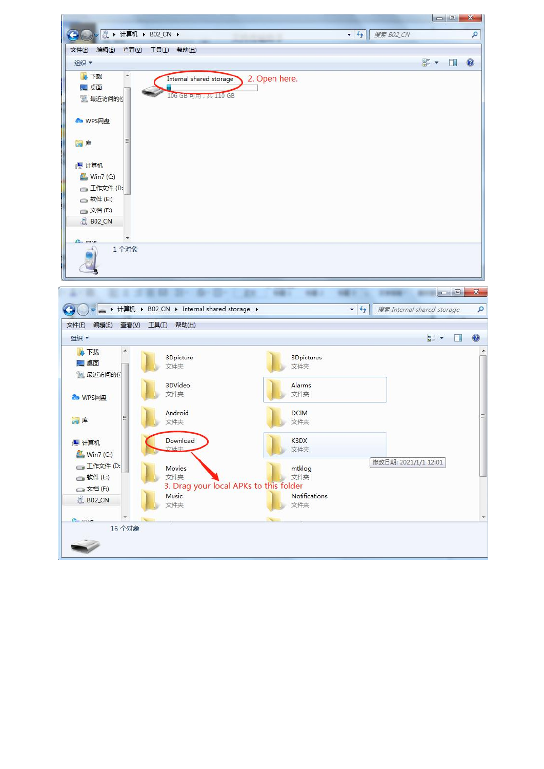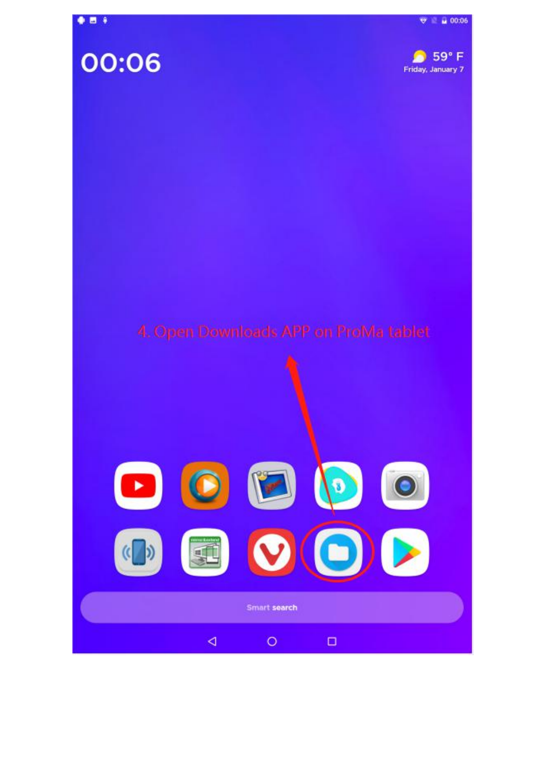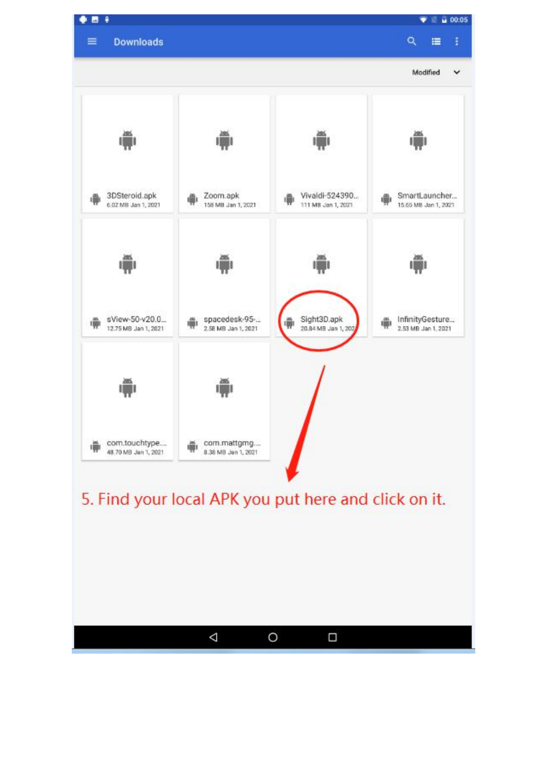